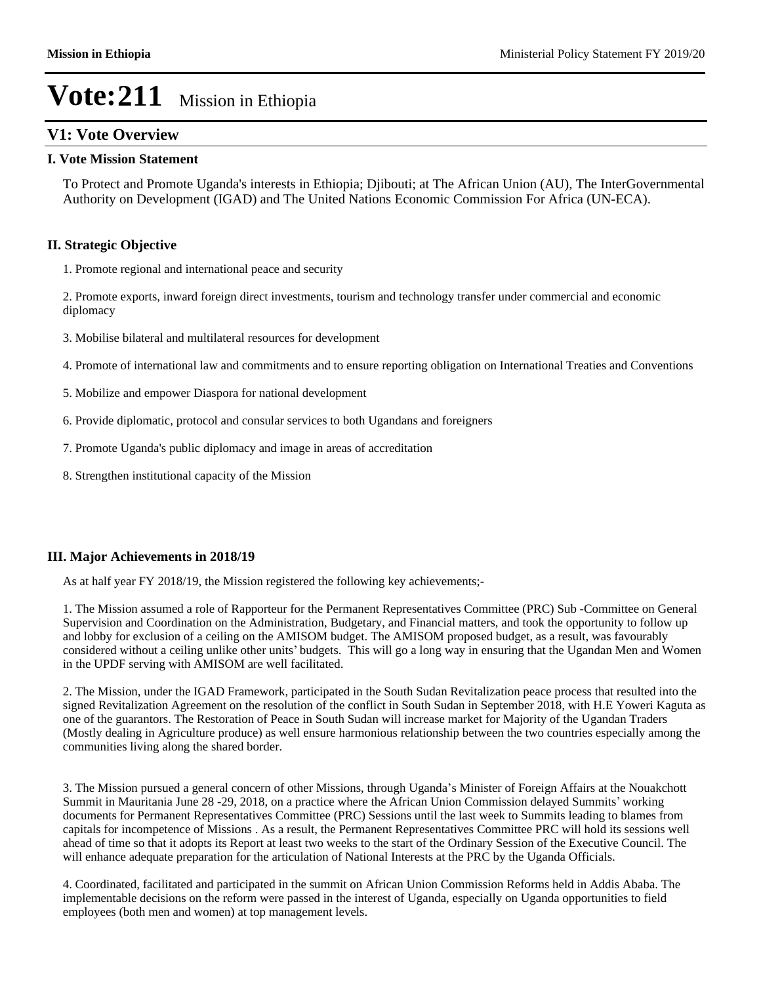### **V1: Vote Overview**

### **I. Vote Mission Statement**

To Protect and Promote Uganda's interests in Ethiopia; Djibouti; at The African Union (AU), The InterGovernmental Authority on Development (IGAD) and The United Nations Economic Commission For Africa (UN-ECA).

### **II. Strategic Objective**

1. Promote regional and international peace and security

2. Promote exports, inward foreign direct investments, tourism and technology transfer under commercial and economic diplomacy

3. Mobilise bilateral and multilateral resources for development

4. Promote of international law and commitments and to ensure reporting obligation on International Treaties and Conventions

- 5. Mobilize and empower Diaspora for national development
- 6. Provide diplomatic, protocol and consular services to both Ugandans and foreigners
- 7. Promote Uganda's public diplomacy and image in areas of accreditation
- 8. Strengthen institutional capacity of the Mission

#### **III. Major Achievements in 2018/19**

As at half year FY 2018/19, the Mission registered the following key achievements;-

1. The Mission assumed a role of Rapporteur for the Permanent Representatives Committee (PRC) Sub -Committee on General Supervision and Coordination on the Administration, Budgetary, and Financial matters, and took the opportunity to follow up and lobby for exclusion of a ceiling on the AMISOM budget. The AMISOM proposed budget, as a result, was favourably considered without a ceiling unlike other units' budgets. This will go a long way in ensuring that the Ugandan Men and Women in the UPDF serving with AMISOM are well facilitated.

2. The Mission, under the IGAD Framework, participated in the South Sudan Revitalization peace process that resulted into the signed Revitalization Agreement on the resolution of the conflict in South Sudan in September 2018, with H.E Yoweri Kaguta as one of the guarantors. The Restoration of Peace in South Sudan will increase market for Majority of the Ugandan Traders (Mostly dealing in Agriculture produce) as well ensure harmonious relationship between the two countries especially among the communities living along the shared border.

3. The Mission pursued a general concern of other Missions, through Uganda's Minister of Foreign Affairs at the Nouakchott Summit in Mauritania June 28 -29, 2018, on a practice where the African Union Commission delayed Summits' working documents for Permanent Representatives Committee (PRC) Sessions until the last week to Summits leading to blames from capitals for incompetence of Missions . As a result, the Permanent Representatives Committee PRC will hold its sessions well ahead of time so that it adopts its Report at least two weeks to the start of the Ordinary Session of the Executive Council. The will enhance adequate preparation for the articulation of National Interests at the PRC by the Uganda Officials.

4. Coordinated, facilitated and participated in the summit on African Union Commission Reforms held in Addis Ababa. The implementable decisions on the reform were passed in the interest of Uganda, especially on Uganda opportunities to field employees (both men and women) at top management levels.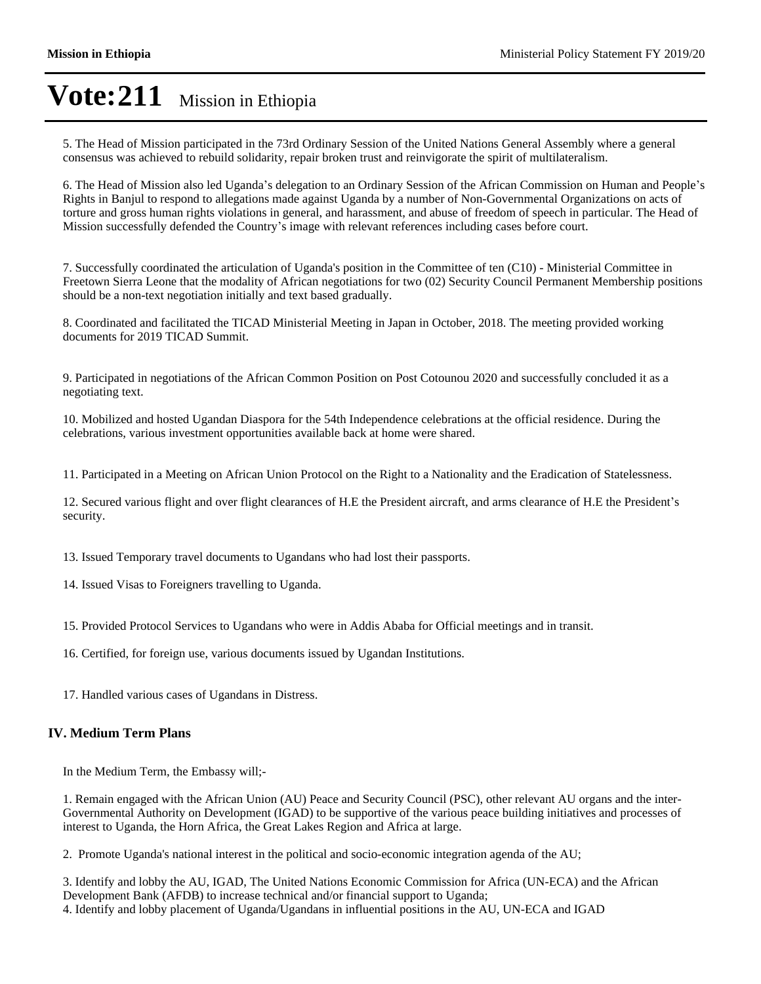5. The Head of Mission participated in the 73rd Ordinary Session of the United Nations General Assembly where a general consensus was achieved to rebuild solidarity, repair broken trust and reinvigorate the spirit of multilateralism.

6. The Head of Mission also led Uganda's delegation to an Ordinary Session of the African Commission on Human and People's Rights in Banjul to respond to allegations made against Uganda by a number of Non-Governmental Organizations on acts of torture and gross human rights violations in general, and harassment, and abuse of freedom of speech in particular. The Head of Mission successfully defended the Country's image with relevant references including cases before court.

7. Successfully coordinated the articulation of Uganda's position in the Committee of ten (C10) - Ministerial Committee in Freetown Sierra Leone that the modality of African negotiations for two (02) Security Council Permanent Membership positions should be a non-text negotiation initially and text based gradually.

8. Coordinated and facilitated the TICAD Ministerial Meeting in Japan in October, 2018. The meeting provided working documents for 2019 TICAD Summit.

9. Participated in negotiations of the African Common Position on Post Cotounou 2020 and successfully concluded it as a negotiating text.

10. Mobilized and hosted Ugandan Diaspora for the 54th Independence celebrations at the official residence. During the celebrations, various investment opportunities available back at home were shared.

11. Participated in a Meeting on African Union Protocol on the Right to a Nationality and the Eradication of Statelessness.

12. Secured various flight and over flight clearances of H.E the President aircraft, and arms clearance of H.E the President's security.

13. Issued Temporary travel documents to Ugandans who had lost their passports.

14. Issued Visas to Foreigners travelling to Uganda.

15. Provided Protocol Services to Ugandans who were in Addis Ababa for Official meetings and in transit.

16. Certified, for foreign use, various documents issued by Ugandan Institutions.

17. Handled various cases of Ugandans in Distress.

#### **IV. Medium Term Plans**

In the Medium Term, the Embassy will;-

1. Remain engaged with the African Union (AU) Peace and Security Council (PSC), other relevant AU organs and the inter-Governmental Authority on Development (IGAD) to be supportive of the various peace building initiatives and processes of interest to Uganda, the Horn Africa, the Great Lakes Region and Africa at large.

2. Promote Uganda's national interest in the political and socio-economic integration agenda of the AU;

3. Identify and lobby the AU, IGAD, The United Nations Economic Commission for Africa (UN-ECA) and the African Development Bank (AFDB) to increase technical and/or financial support to Uganda; 4. Identify and lobby placement of Uganda/Ugandans in influential positions in the AU, UN-ECA and IGAD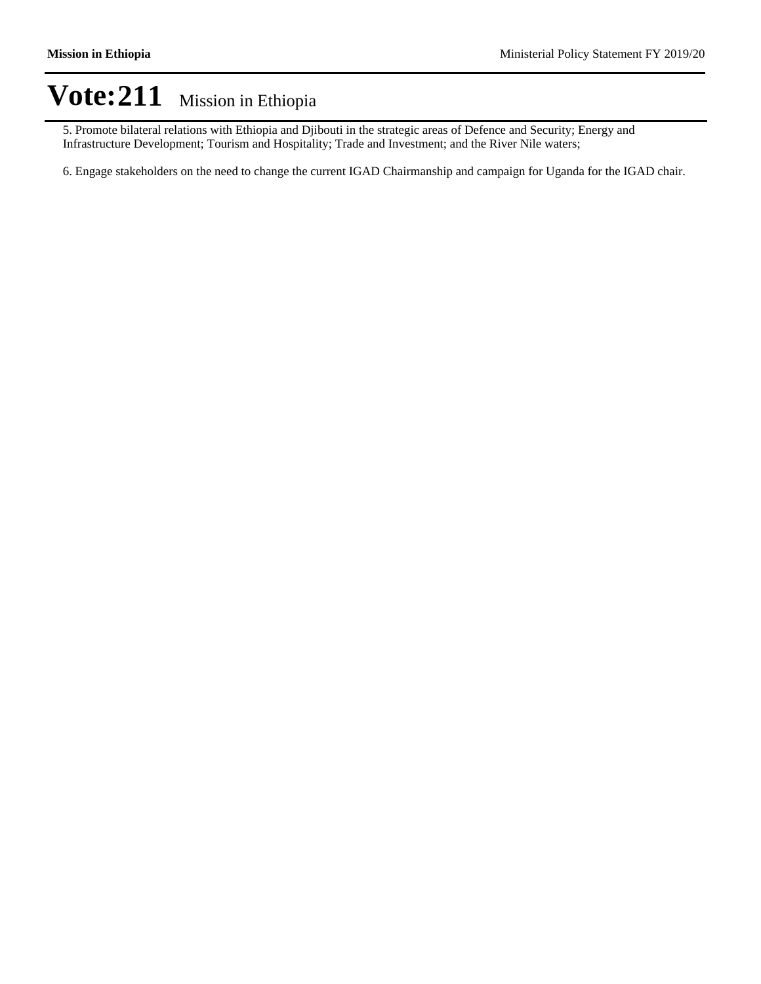5. Promote bilateral relations with Ethiopia and Djibouti in the strategic areas of Defence and Security; Energy and Infrastructure Development; Tourism and Hospitality; Trade and Investment; and the River Nile waters;

6. Engage stakeholders on the need to change the current IGAD Chairmanship and campaign for Uganda for the IGAD chair.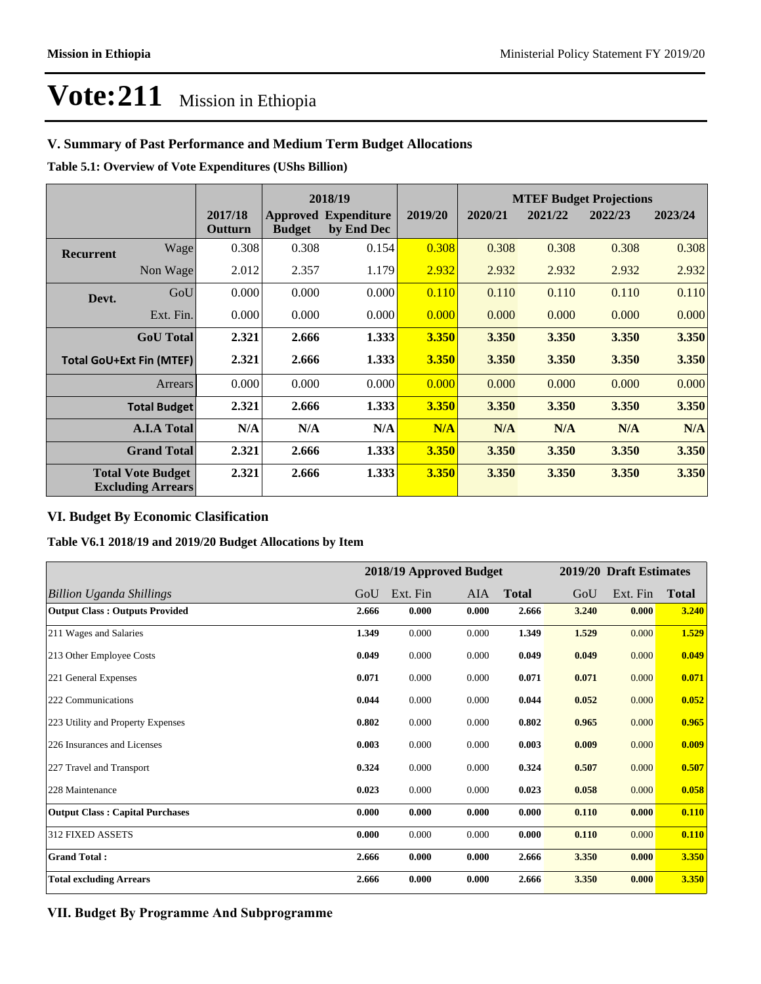### **V. Summary of Past Performance and Medium Term Budget Allocations**

**Table 5.1: Overview of Vote Expenditures (UShs Billion)**

|                                                      |                  |                    | 2018/19       |                                           |              | <b>MTEF Budget Projections</b> |         |         |         |  |
|------------------------------------------------------|------------------|--------------------|---------------|-------------------------------------------|--------------|--------------------------------|---------|---------|---------|--|
|                                                      |                  | 2017/18<br>Outturn | <b>Budget</b> | <b>Approved Expenditure</b><br>by End Dec | 2019/20      | 2020/21                        | 2021/22 | 2022/23 | 2023/24 |  |
| <b>Recurrent</b>                                     | Wage             | 0.308              | 0.308         | 0.154                                     | 0.308        | 0.308                          | 0.308   | 0.308   | 0.308   |  |
|                                                      | Non Wage         | 2.012              | 2.357         | 1.179                                     | 2.932        | 2.932                          | 2.932   | 2.932   | 2.932   |  |
| Devt.                                                | GoU              | 0.000              | 0.000         | 0.000                                     | 0.110        | 0.110                          | 0.110   | 0.110   | 0.110   |  |
|                                                      | Ext. Fin.        | 0.000              | 0.000         | 0.000                                     | 0.000        | 0.000                          | 0.000   | 0.000   | 0.000   |  |
|                                                      | <b>GoU</b> Total | 2.321              | 2.666         | 1.333                                     | <b>3.350</b> | 3.350                          | 3.350   | 3.350   | 3.350   |  |
| <b>Total GoU+Ext Fin (MTEF)</b>                      |                  | 2.321              | 2.666         | 1.333                                     | <b>3.350</b> | 3.350                          | 3.350   | 3.350   | 3.350   |  |
| Arrears                                              |                  | 0.000              | 0.000         | 0.000                                     | 0.000        | 0.000                          | 0.000   | 0.000   | 0.000   |  |
| <b>Total Budget</b>                                  |                  | 2.321              | 2.666         | 1.333                                     | <b>3.350</b> | 3.350                          | 3.350   | 3.350   | 3.350   |  |
| <b>A.I.A Total</b>                                   |                  | N/A                | N/A           | N/A                                       | N/A          | N/A                            | N/A     | N/A     | N/A     |  |
| <b>Grand Total</b>                                   |                  | 2.321              | 2.666         | 1.333                                     | 3.350        | 3.350                          | 3.350   | 3.350   | 3.350   |  |
| <b>Total Vote Budget</b><br><b>Excluding Arrears</b> |                  | 2.321              | 2.666         | 1.333                                     | 3.350        | 3.350                          | 3.350   | 3.350   | 3.350   |  |

### **VI. Budget By Economic Clasification**

**Table V6.1 2018/19 and 2019/20 Budget Allocations by Item**

|                                        | 2018/19 Approved Budget |          |       | 2019/20 Draft Estimates |       |          |              |
|----------------------------------------|-------------------------|----------|-------|-------------------------|-------|----------|--------------|
| Billion Uganda Shillings               | GoU                     | Ext. Fin | AIA   | <b>Total</b>            | GoU   | Ext. Fin | <b>Total</b> |
| <b>Output Class: Outputs Provided</b>  | 2.666                   | 0.000    | 0.000 | 2.666                   | 3.240 | 0.000    | 3.240        |
| 211 Wages and Salaries                 | 1.349                   | 0.000    | 0.000 | 1.349                   | 1.529 | 0.000    | 1.529        |
| 213 Other Employee Costs               | 0.049                   | 0.000    | 0.000 | 0.049                   | 0.049 | 0.000    | 0.049        |
| 221 General Expenses                   | 0.071                   | 0.000    | 0.000 | 0.071                   | 0.071 | 0.000    | 0.071        |
| 222 Communications                     | 0.044                   | 0.000    | 0.000 | 0.044                   | 0.052 | 0.000    | 0.052        |
| 223 Utility and Property Expenses      | 0.802                   | 0.000    | 0.000 | 0.802                   | 0.965 | 0.000    | 0.965        |
| 226 Insurances and Licenses            | 0.003                   | 0.000    | 0.000 | 0.003                   | 0.009 | 0.000    | 0.009        |
| 227 Travel and Transport               | 0.324                   | 0.000    | 0.000 | 0.324                   | 0.507 | 0.000    | 0.507        |
| 228 Maintenance                        | 0.023                   | 0.000    | 0.000 | 0.023                   | 0.058 | 0.000    | 0.058        |
| <b>Output Class: Capital Purchases</b> | 0.000                   | 0.000    | 0.000 | 0.000                   | 0.110 | 0.000    | 0.110        |
| 312 FIXED ASSETS                       | 0.000                   | 0.000    | 0.000 | 0.000                   | 0.110 | 0.000    | 0.110        |
| <b>Grand Total:</b>                    | 2.666                   | 0.000    | 0.000 | 2.666                   | 3.350 | 0.000    | 3.350        |
| <b>Total excluding Arrears</b>         | 2.666                   | 0.000    | 0.000 | 2.666                   | 3.350 | 0.000    | 3.350        |

**VII. Budget By Programme And Subprogramme**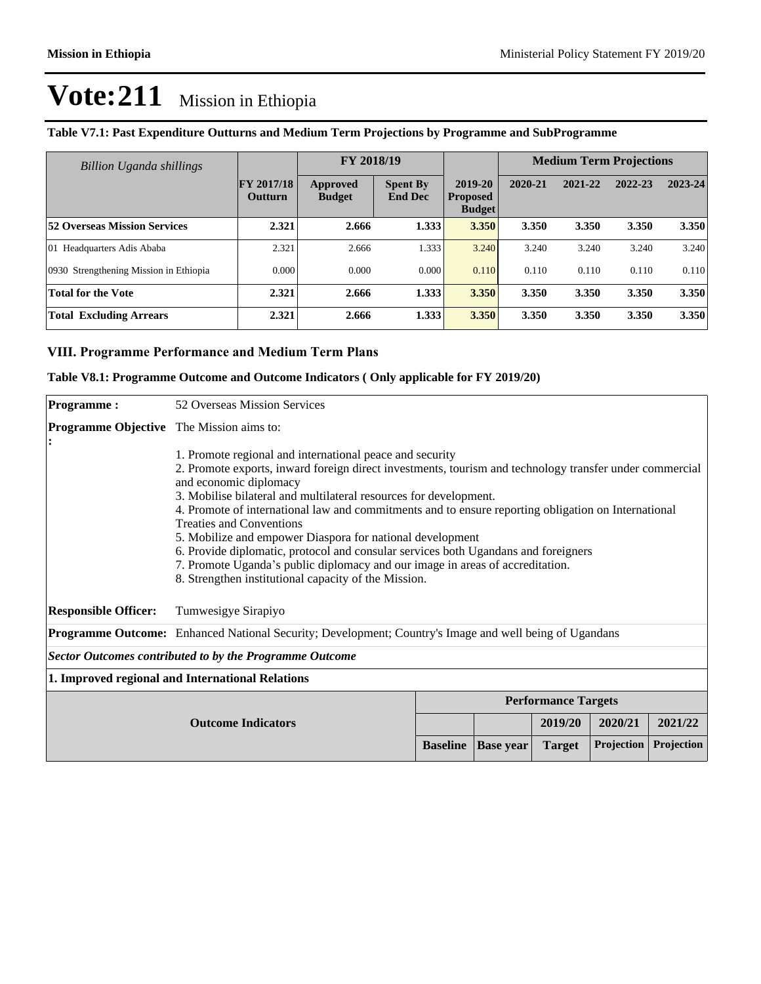| <b>Billion Uganda shillings</b>        |                                     | FY 2018/19                |                                   |                                             | <b>Medium Term Projections</b> |         |         |         |
|----------------------------------------|-------------------------------------|---------------------------|-----------------------------------|---------------------------------------------|--------------------------------|---------|---------|---------|
|                                        | <b>FY 2017/18</b><br><b>Outturn</b> | Approved<br><b>Budget</b> | <b>Spent By</b><br><b>End Dec</b> | 2019-20<br><b>Proposed</b><br><b>Budget</b> | 2020-21                        | 2021-22 | 2022-23 | 2023-24 |
| <b>52 Overseas Mission Services</b>    | 2.321                               | 2.666                     | 1.333                             | 3.350                                       | 3.350                          | 3.350   | 3.350   | 3.350   |
| 01 Headquarters Adis Ababa             | 2.321                               | 2.666                     | 1.333                             | 3.240                                       | 3.240                          | 3.240   | 3.240   | 3.240   |
| 0930 Strengthening Mission in Ethiopia | 0.000                               | 0.000                     | 0.000                             | 0.110                                       | 0.110                          | 0.110   | 0.110   | 0.110   |
| <b>Total for the Vote</b>              | 2.321                               | 2.666                     | 1.333                             | 3.350                                       | 3.350                          | 3.350   | 3.350   | 3.350   |
| <b>Total Excluding Arrears</b>         | 2.321                               | 2.666                     | 1.333                             | 3.350                                       | 3.350                          | 3.350   | 3.350   | 3.350   |

### **Table V7.1: Past Expenditure Outturns and Medium Term Projections by Programme and SubProgramme**

### **VIII. Programme Performance and Medium Term Plans**

### **Table V8.1: Programme Outcome and Outcome Indicators ( Only applicable for FY 2019/20)**

| <b>Programme:</b>                                              | 52 Overseas Mission Services                                                                                                                                                                                                                                                                                                                                                                                                                                                                                                                                                                                                                                                                             |                 |                  |               |            |            |
|----------------------------------------------------------------|----------------------------------------------------------------------------------------------------------------------------------------------------------------------------------------------------------------------------------------------------------------------------------------------------------------------------------------------------------------------------------------------------------------------------------------------------------------------------------------------------------------------------------------------------------------------------------------------------------------------------------------------------------------------------------------------------------|-----------------|------------------|---------------|------------|------------|
| <b>Programme Objective</b> The Mission aims to:                |                                                                                                                                                                                                                                                                                                                                                                                                                                                                                                                                                                                                                                                                                                          |                 |                  |               |            |            |
|                                                                | 1. Promote regional and international peace and security<br>2. Promote exports, inward foreign direct investments, tourism and technology transfer under commercial<br>and economic diplomacy<br>3. Mobilise bilateral and multilateral resources for development.<br>4. Promote of international law and commitments and to ensure reporting obligation on International<br><b>Treaties and Conventions</b><br>5. Mobilize and empower Diaspora for national development<br>6. Provide diplomatic, protocol and consular services both Ugandans and foreigners<br>7. Promote Uganda's public diplomacy and our image in areas of accreditation.<br>8. Strengthen institutional capacity of the Mission. |                 |                  |               |            |            |
| <b>Responsible Officer:</b>                                    | Tumwesigye Sirapiyo                                                                                                                                                                                                                                                                                                                                                                                                                                                                                                                                                                                                                                                                                      |                 |                  |               |            |            |
|                                                                | Programme Outcome: Enhanced National Security; Development; Country's Image and well being of Ugandans                                                                                                                                                                                                                                                                                                                                                                                                                                                                                                                                                                                                   |                 |                  |               |            |            |
| <b>Sector Outcomes contributed to by the Programme Outcome</b> |                                                                                                                                                                                                                                                                                                                                                                                                                                                                                                                                                                                                                                                                                                          |                 |                  |               |            |            |
| 1. Improved regional and International Relations               |                                                                                                                                                                                                                                                                                                                                                                                                                                                                                                                                                                                                                                                                                                          |                 |                  |               |            |            |
|                                                                | <b>Performance Targets</b>                                                                                                                                                                                                                                                                                                                                                                                                                                                                                                                                                                                                                                                                               |                 |                  |               |            |            |
|                                                                | <b>Outcome Indicators</b>                                                                                                                                                                                                                                                                                                                                                                                                                                                                                                                                                                                                                                                                                |                 |                  | 2019/20       | 2020/21    | 2021/22    |
|                                                                |                                                                                                                                                                                                                                                                                                                                                                                                                                                                                                                                                                                                                                                                                                          | <b>Baseline</b> | <b>Base year</b> | <b>Target</b> | Projection | Projection |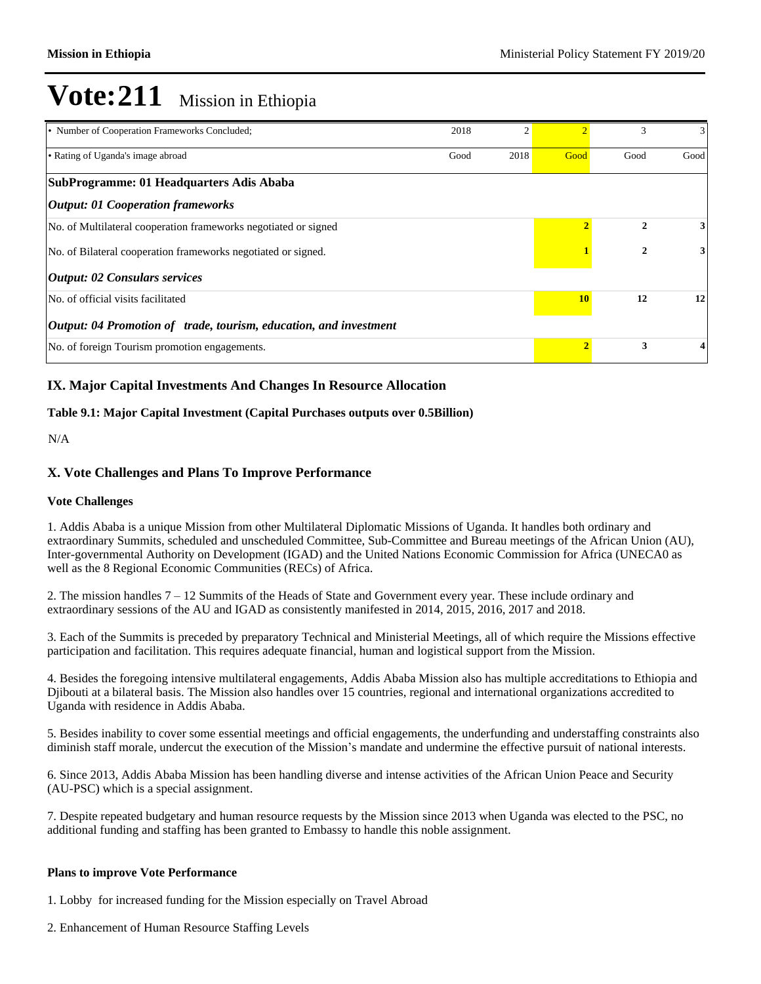| • Number of Cooperation Frameworks Concluded;                     | 2018 | $\overline{2}$ |              | 3    | 3    |
|-------------------------------------------------------------------|------|----------------|--------------|------|------|
| • Rating of Uganda's image abroad                                 |      | 2018           | Good         | Good | Good |
| SubProgramme: 01 Headquarters Adis Ababa                          |      |                |              |      |      |
| <i><b>Output: 01 Cooperation frameworks</b></i>                   |      |                |              |      |      |
| No. of Multilateral cooperation frameworks negotiated or signed   |      |                | $\mathbf{2}$ | 3    |      |
| No. of Bilateral cooperation frameworks negotiated or signed.     |      |                | $\mathbf{2}$ | 3    |      |
| <i><b>Output: 02 Consulars services</b></i>                       |      |                |              |      |      |
| No. of official visits facilitated                                |      | <b>10</b>      | 12           | 12   |      |
| Output: 04 Promotion of trade, tourism, education, and investment |      |                |              |      |      |
| No. of foreign Tourism promotion engagements.                     |      | $\overline{2}$ | 3            | 4    |      |

### **IX. Major Capital Investments And Changes In Resource Allocation**

### **Table 9.1: Major Capital Investment (Capital Purchases outputs over 0.5Billion)**

N/A

### **X. Vote Challenges and Plans To Improve Performance**

#### **Vote Challenges**

1. Addis Ababa is a unique Mission from other Multilateral Diplomatic Missions of Uganda. It handles both ordinary and extraordinary Summits, scheduled and unscheduled Committee, Sub-Committee and Bureau meetings of the African Union (AU), Inter-governmental Authority on Development (IGAD) and the United Nations Economic Commission for Africa (UNECA0 as well as the 8 Regional Economic Communities (RECs) of Africa.

2. The mission handles  $7-12$  Summits of the Heads of State and Government every year. These include ordinary and extraordinary sessions of the AU and IGAD as consistently manifested in 2014, 2015, 2016, 2017 and 2018.

3. Each of the Summits is preceded by preparatory Technical and Ministerial Meetings, all of which require the Missions effective participation and facilitation. This requires adequate financial, human and logistical support from the Mission.

4. Besides the foregoing intensive multilateral engagements, Addis Ababa Mission also has multiple accreditations to Ethiopia and Djibouti at a bilateral basis. The Mission also handles over 15 countries, regional and international organizations accredited to Uganda with residence in Addis Ababa.

5. Besides inability to cover some essential meetings and official engagements, the underfunding and understaffing constraints also diminish staff morale, undercut the execution of the Mission's mandate and undermine the effective pursuit of national interests.

6. Since 2013, Addis Ababa Mission has been handling diverse and intense activities of the African Union Peace and Security (AU-PSC) which is a special assignment.

7. Despite repeated budgetary and human resource requests by the Mission since 2013 when Uganda was elected to the PSC, no additional funding and staffing has been granted to Embassy to handle this noble assignment.

#### **Plans to improve Vote Performance**

1. Lobby for increased funding for the Mission especially on Travel Abroad

2. Enhancement of Human Resource Staffing Levels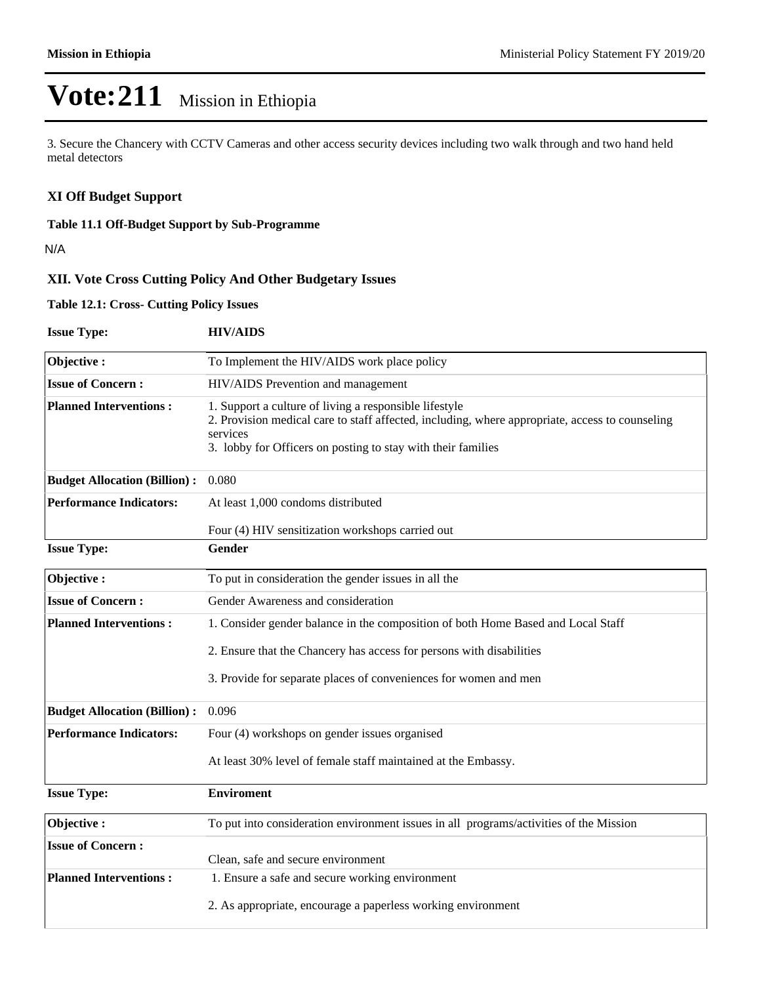3. Secure the Chancery with CCTV Cameras and other access security devices including two walk through and two hand held metal detectors

### **XI Off Budget Support**

### **Table 11.1 Off-Budget Support by Sub-Programme**

N/A

### **XII. Vote Cross Cutting Policy And Other Budgetary Issues**

### **Table 12.1: Cross- Cutting Policy Issues**

| <b>Issue Type:</b>                  | <b>HIV/AIDS</b>                                                                                                                                                                                                                       |  |  |  |  |  |  |
|-------------------------------------|---------------------------------------------------------------------------------------------------------------------------------------------------------------------------------------------------------------------------------------|--|--|--|--|--|--|
| Objective:                          | To Implement the HIV/AIDS work place policy                                                                                                                                                                                           |  |  |  |  |  |  |
| <b>Issue of Concern:</b>            | HIV/AIDS Prevention and management                                                                                                                                                                                                    |  |  |  |  |  |  |
| <b>Planned Interventions:</b>       | 1. Support a culture of living a responsible lifestyle<br>2. Provision medical care to staff affected, including, where appropriate, access to counseling<br>services<br>3. lobby for Officers on posting to stay with their families |  |  |  |  |  |  |
| <b>Budget Allocation (Billion):</b> | 0.080                                                                                                                                                                                                                                 |  |  |  |  |  |  |
| <b>Performance Indicators:</b>      | At least 1,000 condoms distributed                                                                                                                                                                                                    |  |  |  |  |  |  |
|                                     | Four (4) HIV sensitization workshops carried out                                                                                                                                                                                      |  |  |  |  |  |  |
| <b>Issue Type:</b>                  | Gender                                                                                                                                                                                                                                |  |  |  |  |  |  |
| Objective:                          | To put in consideration the gender issues in all the                                                                                                                                                                                  |  |  |  |  |  |  |
| <b>Issue of Concern:</b>            | Gender Awareness and consideration                                                                                                                                                                                                    |  |  |  |  |  |  |
| <b>Planned Interventions:</b>       | 1. Consider gender balance in the composition of both Home Based and Local Staff                                                                                                                                                      |  |  |  |  |  |  |
|                                     | 2. Ensure that the Chancery has access for persons with disabilities                                                                                                                                                                  |  |  |  |  |  |  |
|                                     | 3. Provide for separate places of conveniences for women and men                                                                                                                                                                      |  |  |  |  |  |  |
| <b>Budget Allocation (Billion):</b> | 0.096                                                                                                                                                                                                                                 |  |  |  |  |  |  |
| <b>Performance Indicators:</b>      | Four (4) workshops on gender issues organised                                                                                                                                                                                         |  |  |  |  |  |  |
|                                     | At least 30% level of female staff maintained at the Embassy.                                                                                                                                                                         |  |  |  |  |  |  |
| <b>Issue Type:</b>                  | <b>Enviroment</b>                                                                                                                                                                                                                     |  |  |  |  |  |  |
| Objective:                          | To put into consideration environment issues in all programs/activities of the Mission                                                                                                                                                |  |  |  |  |  |  |
| <b>Issue of Concern:</b>            | Clean, safe and secure environment                                                                                                                                                                                                    |  |  |  |  |  |  |
| <b>Planned Interventions:</b>       | 1. Ensure a safe and secure working environment                                                                                                                                                                                       |  |  |  |  |  |  |
|                                     | 2. As appropriate, encourage a paperless working environment                                                                                                                                                                          |  |  |  |  |  |  |
|                                     |                                                                                                                                                                                                                                       |  |  |  |  |  |  |